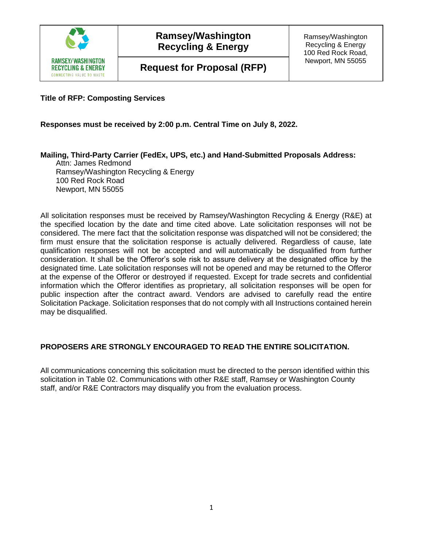

## **Ramsey/Washington Recycling & Energy**

**Request for Proposal (RFP)**

Ramsey/Washington Recycling & Energy 100 Red Rock Road, Newport, MN 55055

### **Title of RFP: Composting Services**

**Responses must be received by 2:00 p.m. Central Time on July 8, 2022.**

### **Mailing, Third-Party Carrier (FedEx, UPS, etc.) and Hand-Submitted Proposals Address:**

Attn: James Redmond Ramsey/Washington Recycling & Energy 100 Red Rock Road Newport, MN 55055

All solicitation responses must be received by Ramsey/Washington Recycling & Energy (R&E) at the specified location by the date and time cited above. Late solicitation responses will not be considered. The mere fact that the solicitation response was dispatched will not be considered; the firm must ensure that the solicitation response is actually delivered. Regardless of cause, late qualification responses will not be accepted and will automatically be disqualified from further consideration. It shall be the Offeror's sole risk to assure delivery at the designated office by the designated time. Late solicitation responses will not be opened and may be returned to the Offeror at the expense of the Offeror or destroyed if requested. Except for trade secrets and confidential information which the Offeror identifies as proprietary, all solicitation responses will be open for public inspection after the contract award. Vendors are advised to carefully read the entire Solicitation Package. Solicitation responses that do not comply with all Instructions contained herein may be disqualified.

### **PROPOSERS ARE STRONGLY ENCOURAGED TO READ THE ENTIRE SOLICITATION.**

All communications concerning this solicitation must be directed to the person identified within this solicitation in Table 02. Communications with other R&E staff, Ramsey or Washington County staff, and/or R&E Contractors may disqualify you from the evaluation process.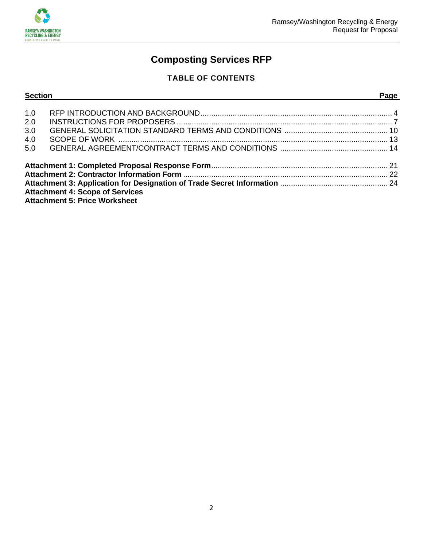

# **Composting Services RFP**

**TABLE OF CONTENTS**

| <b>Section</b> |                                                                                | Page |  |
|----------------|--------------------------------------------------------------------------------|------|--|
| 1.0<br>2.0     |                                                                                |      |  |
| 3.0<br>4.0     |                                                                                |      |  |
| 5.0            |                                                                                |      |  |
|                |                                                                                |      |  |
|                | <b>Attachment 4: Scope of Services</b><br><b>Attachment 5: Price Worksheet</b> |      |  |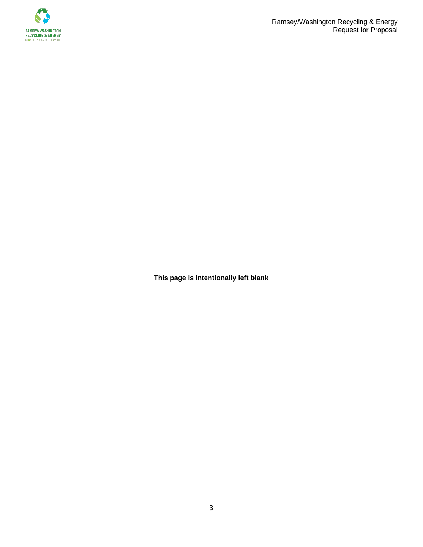

**This page is intentionally left blank**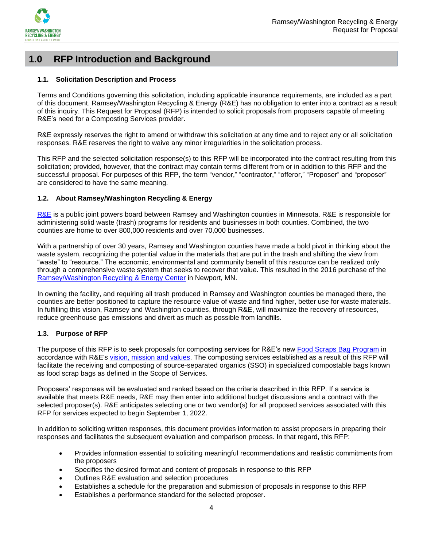

## **1.0 RFP Introduction and Background**

### **1.1. Solicitation Description and Process**

Terms and Conditions governing this solicitation, including applicable insurance requirements, are included as a part of this document. Ramsey/Washington Recycling & Energy (R&E) has no obligation to enter into a contract as a result of this inquiry. This Request for Proposal (RFP) is intended to solicit proposals from proposers capable of meeting R&E's need for a Composting Services provider.

R&E expressly reserves the right to amend or withdraw this solicitation at any time and to reject any or all solicitation responses. R&E reserves the right to waive any minor irregularities in the solicitation process.

This RFP and the selected solicitation response(s) to this RFP will be incorporated into the contract resulting from this solicitation; provided, however, that the contract may contain terms different from or in addition to this RFP and the successful proposal. For purposes of this RFP, the term "vendor," "contractor," "offeror," "Proposer" and "proposer" are considered to have the same meaning.

### **1.2. About Ramsey/Washington Recycling & Energy**

[R&E](http://www.recyclingandenergy.org/) is a public joint powers board between Ramsey and Washington counties in Minnesota. R&E is responsible for administering solid waste (trash) programs for residents and businesses in both counties. Combined, the two counties are home to over 800,000 residents and over 70,000 businesses.

With a partnership of over 30 years, Ramsey and Washington counties have made a bold pivot in thinking about the waste system, recognizing the potential value in the materials that are put in the trash and shifting the view from "waste" to "resource." The economic, environmental and community benefit of this resource can be realized only through a comprehensive waste system that seeks to recover that value. This resulted in the 2016 purchase of the [Ramsey/Washington Recycling & Energy Center](https://recyclingandenergy.org/about-re-center/) in Newport, MN.

In owning the facility, and requiring all trash produced in Ramsey and Washington counties be managed there, the counties are better positioned to capture the resource value of waste and find higher, better use for waste materials. In fulfilling this vision, Ramsey and Washington counties, through R&E, will maximize the recovery of resources, reduce greenhouse gas emissions and divert as much as possible from landfills.

### **1.3. Purpose of RFP**

The purpose of this RFP is to seek proposals for composting services for R&E's new [Food Scraps Bag Program](https://recyclingandenergy.org/wp-content/uploads/2020/11/2020-Food-Scraps-Bag-Fact-Sheet.pdf) in accordance with R&E's [vision, mission and values.](https://recyclingandenergy.org/who-we-are-and-what-we-do/) The composting services established as a result of this RFP will facilitate the receiving and composting of source-separated organics (SSO) in specialized compostable bags known as food scrap bags as defined in the Scope of Services.

Proposers' responses will be evaluated and ranked based on the criteria described in this RFP. If a service is available that meets R&E needs, R&E may then enter into additional budget discussions and a contract with the selected proposer(s). R&E anticipates selecting one or two vendor(s) for all proposed services associated with this RFP for services expected to begin September 1, 2022.

In addition to soliciting written responses, this document provides information to assist proposers in preparing their responses and facilitates the subsequent evaluation and comparison process. In that regard, this RFP:

- Provides information essential to soliciting meaningful recommendations and realistic commitments from the proposers
- Specifies the desired format and content of proposals in response to this RFP
- Outlines R&E evaluation and selection procedures
- Establishes a schedule for the preparation and submission of proposals in response to this RFP
- Establishes a performance standard for the selected proposer.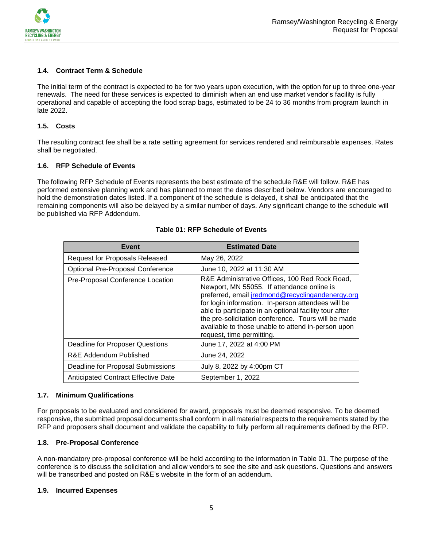

### **1.4. Contract Term & Schedule**

The initial term of the contract is expected to be for two years upon execution, with the option for up to three one-year renewals. The need for these services is expected to diminish when an end use market vendor's facility is fully operational and capable of accepting the food scrap bags, estimated to be 24 to 36 months from program launch in late 2022.

### **1.5. Costs**

The resulting contract fee shall be a rate setting agreement for services rendered and reimbursable expenses. Rates shall be negotiated.

### **1.6. RFP Schedule of Events**

The following RFP Schedule of Events represents the best estimate of the schedule R&E will follow. R&E has performed extensive planning work and has planned to meet the dates described below. Vendors are encouraged to hold the demonstration dates listed. If a component of the schedule is delayed, it shall be anticipated that the remaining components will also be delayed by a similar number of days. Any significant change to the schedule will be published via RFP Addendum.

| <b>Event</b>                            | <b>Estimated Date</b>                                                                                                                                                                                                                                                                                                                                                                                      |
|-----------------------------------------|------------------------------------------------------------------------------------------------------------------------------------------------------------------------------------------------------------------------------------------------------------------------------------------------------------------------------------------------------------------------------------------------------------|
| <b>Request for Proposals Released</b>   | May 26, 2022                                                                                                                                                                                                                                                                                                                                                                                               |
| <b>Optional Pre-Proposal Conference</b> | June 10, 2022 at 11:30 AM                                                                                                                                                                                                                                                                                                                                                                                  |
| Pre-Proposal Conference Location        | R&E Administrative Offices, 100 Red Rock Road,<br>Newport, MN 55055. If attendance online is<br>preferred, email jredmond@recyclingandenergy.org<br>for login information. In-person attendees will be<br>able to participate in an optional facility tour after<br>the pre-solicitation conference. Tours will be made<br>available to those unable to attend in-person upon<br>request, time permitting. |
| Deadline for Proposer Questions         | June 17, 2022 at 4:00 PM                                                                                                                                                                                                                                                                                                                                                                                   |
| R&E Addendum Published                  | June 24, 2022                                                                                                                                                                                                                                                                                                                                                                                              |
| Deadline for Proposal Submissions       | July 8, 2022 by 4:00pm CT                                                                                                                                                                                                                                                                                                                                                                                  |
| Anticipated Contract Effective Date     | September 1, 2022                                                                                                                                                                                                                                                                                                                                                                                          |

### **Table 01: RFP Schedule of Events**

#### **1.7. Minimum Qualifications**

For proposals to be evaluated and considered for award, proposals must be deemed responsive. To be deemed responsive, the submitted proposal documents shall conform in all material respects to the requirements stated by the RFP and proposers shall document and validate the capability to fully perform all requirements defined by the RFP.

### **1.8. Pre-Proposal Conference**

A non-mandatory pre-proposal conference will be held according to the information in Table 01. The purpose of the conference is to discuss the solicitation and allow vendors to see the site and ask questions. Questions and answers will be transcribed and posted on R&E's website in the form of an addendum.

### **1.9. Incurred Expenses**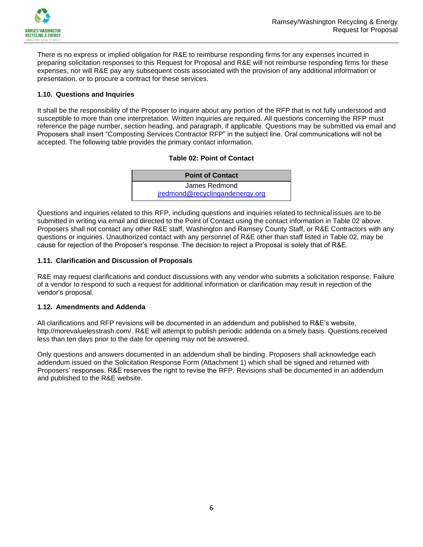

There is no express or implied obligation for R&E to reimburse responding firms for any expenses incurred in preparing solicitation responses to this Request for Proposal and R&E will not reimburse responding firms for these expenses, nor will R&E pay any subsequent costs associated with the provision of any additional information or presentation, or to procure a contract for these services.

### **1.10. Questions and Inquiries**

It shall be the responsibility of the Proposer to inquire about any portion of the RFP that is not fully understood and susceptible to more than one interpretation. Written inquiries are required. All questions concerning the RFP must reference the page number, section heading, and paragraph, if applicable. Questions may be submitted via email and Proposers shall insert "Composting Services Contractor RFP" in the subject line. Oral communications will not be accepted. The following table provides the primary contact information.

### **Table 02: Point of Contact**

| <b>Point of Contact</b>         |  |
|---------------------------------|--|
| James Redmond                   |  |
| jredmond@recyclingandenergy.org |  |

Questions and inquiries related to this RFP, including questions and inquiries related to technical issues are to be submitted in writing via email and directed to the Point of Contact using the contact information in Table 02 above. Proposers shall not contact any other R&E staff, Washington and Ramsey County Staff, or R&E Contractors with any questions or inquiries. Unauthorized contact with any personnel of R&E other than staff listed in Table 02, may be cause for rejection of the Proposer's response. The decision to reject a Proposal is solely that of R&E.

### **1.11. Clarification and Discussion of Proposals**

R&E may request clarifications and conduct discussions with any vendor who submits a solicitation response. Failure of a vendor to respond to such a request for additional information or clarification may result in rejection of the vendor's proposal.

### **1.12. Amendments and Addenda**

All clarifications and RFP revisions will be documented in an addendum and published to R&E's website, [http://morevaluelesstrash.com/. R](http://morevaluelesstrash.com/)&E will attempt to publish periodic addenda on a timely basis. Questions received less than ten days prior to the date for opening may not be answered.

Only questions and answers documented in an addendum shall be binding. Proposers shall acknowledge each addendum issued on the Solicitation Response Form (Attachment 1) which shall be signed and returned with Proposers' responses. R&E reserves the right to revise the RFP. Revisions shall be documented in an addendum and published to the R&E website.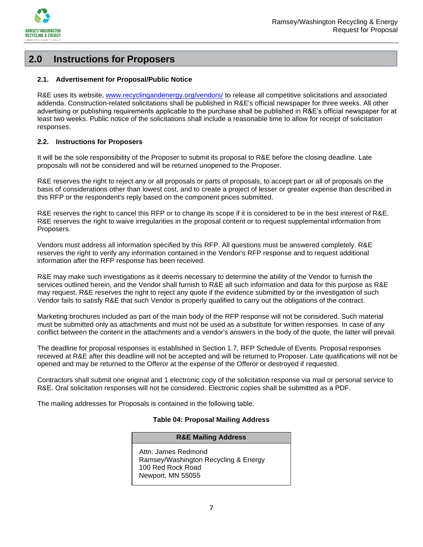

## **2.0 Instructions for Proposers**

### **2.1. Advertisement for Proposal/Public Notice**

R&E uses its website, [www.recyclingandenergy.org/vendors/](https://recyclingandenergy.org/vendors/) to release all competitive solicitations and associated addenda. Construction-related solicitations shall be published in R&E's official newspaper for three weeks. All other advertising or publishing requirements applicable to the purchase shall be published in R&E's official newspaper for at least two weeks. Public notice of the solicitations shall include a reasonable time to allow for receipt of solicitation responses.

### **2.2. Instructions for Proposers**

It will be the sole responsibility of the Proposer to submit its proposal to R&E before the closing deadline. Late proposals will not be considered and will be returned unopened to the Proposer.

R&E reserves the right to reject any or all proposals or parts of proposals, to accept part or all of proposals on the basis of considerations other than lowest cost, and to create a project of lesser or greater expense than described in this RFP or the respondent's reply based on the component prices submitted.

R&E reserves the right to cancel this RFP or to change its scope if it is considered to be in the best interest of R&E. R&E reserves the right to waive irregularities in the proposal content or to request supplemental information from Proposers.

Vendors must address all information specified by this RFP. All questions must be answered completely. R&E reserves the right to verify any information contained in the Vendor's RFP response and to request additional information after the RFP response has been received.

R&E may make such investigations as it deems necessary to determine the ability of the Vendor to furnish the services outlined herein, and the Vendor shall furnish to R&E all such information and data for this purpose as R&E may request. R&E reserves the right to reject any quote if the evidence submitted by or the investigation of such Vendor fails to satisfy R&E that such Vendor is properly qualified to carry out the obligations of the contract.

Marketing brochures included as part of the main body of the RFP response will not be considered. Such material must be submitted only as attachments and must not be used as a substitute for written responses. In case of any conflict between the content in the attachments and a vendor's answers in the body of the quote, the latter will prevail.

The deadline for proposal responses is established in Section 1.7, RFP Schedule of Events. Proposal responses received at R&E after this deadline will not be accepted and will be returned to Proposer. Late qualifications will not be opened and may be returned to the Offeror at the expense of the Offeror or destroyed if requested.

Contractors shall submit one original and 1 electronic copy of the solicitation response via mail or personal service to R&E. Oral solicitation responses will not be considered. Electronic copies shall be submitted as a PDF.

The mailing addresses for Proposals is contained in the following table.

### **Table 04: Proposal Mailing Address**

### **R&E Mailing Address**

Attn: James Redmond Ramsey/Washington Recycling & Energy 100 Red Rock Road Newport, MN 55055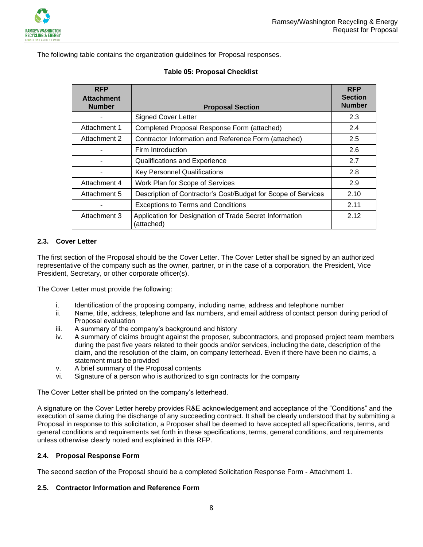

The following table contains the organization guidelines for Proposal responses.

### **Table 05: Proposal Checklist**

| <b>RFP</b><br><b>Attachment</b><br><b>Number</b> | <b>Proposal Section</b>                                               | <b>RFP</b><br><b>Section</b><br><b>Number</b> |
|--------------------------------------------------|-----------------------------------------------------------------------|-----------------------------------------------|
|                                                  | <b>Signed Cover Letter</b>                                            | 2.3                                           |
| Attachment 1                                     | Completed Proposal Response Form (attached)                           | 2.4                                           |
| Attachment 2                                     | Contractor Information and Reference Form (attached)                  | 2.5                                           |
|                                                  | Firm Introduction                                                     | 2.6                                           |
|                                                  | <b>Qualifications and Experience</b>                                  | 2.7                                           |
|                                                  | <b>Key Personnel Qualifications</b>                                   | 2.8                                           |
| Attachment 4                                     | Work Plan for Scope of Services                                       | 2.9                                           |
| Attachment 5                                     | Description of Contractor's Cost/Budget for Scope of Services         | 2.10                                          |
|                                                  | Exceptions to Terms and Conditions                                    | 2.11                                          |
| Attachment 3                                     | Application for Designation of Trade Secret Information<br>(attached) | 2.12                                          |

### **2.3. Cover Letter**

The first section of the Proposal should be the Cover Letter. The Cover Letter shall be signed by an authorized representative of the company such as the owner, partner, or in the case of a corporation, the President, Vice President, Secretary, or other corporate officer(s).

The Cover Letter must provide the following:

- i. Identification of the proposing company, including name, address and telephone number
- ii. Name, title, address, telephone and fax numbers, and email address of contact person during period of Proposal evaluation
- iii. A summary of the company's background and history
- iv. A summary of claims brought against the proposer, subcontractors, and proposed project team members during the past five years related to their goods and/or services, including the date, description of the claim, and the resolution of the claim, on company letterhead. Even if there have been no claims, a statement must be provided
- v. A brief summary of the Proposal contents
- vi. Signature of a person who is authorized to sign contracts for the company

The Cover Letter shall be printed on the company's letterhead.

A signature on the Cover Letter hereby provides R&E acknowledgement and acceptance of the "Conditions" and the execution of same during the discharge of any succeeding contract. It shall be clearly understood that by submitting a Proposal in response to this solicitation, a Proposer shall be deemed to have accepted all specifications, terms, and general conditions and requirements set forth in these specifications, terms, general conditions, and requirements unless otherwise clearly noted and explained in this RFP.

### **2.4. Proposal Response Form**

The second section of the Proposal should be a completed Solicitation Response Form - Attachment 1.

### **2.5. Contractor Information and Reference Form**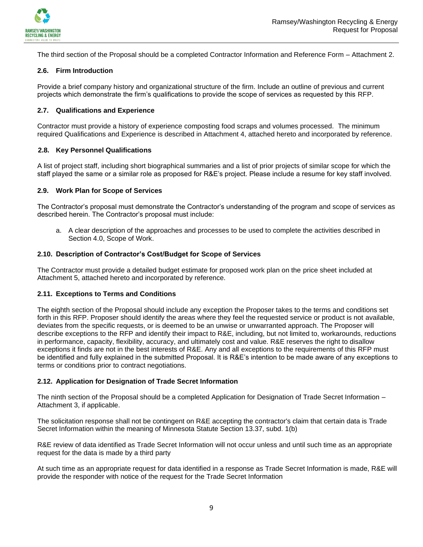

The third section of the Proposal should be a completed Contractor Information and Reference Form – Attachment 2.

### **2.6. Firm Introduction**

Provide a brief company history and organizational structure of the firm. Include an outline of previous and current projects which demonstrate the firm's qualifications to provide the scope of services as requested by this RFP.

### **2.7. Qualifications and Experience**

Contractor must provide a history of experience composting food scraps and volumes processed. The minimum required Qualifications and Experience is described in Attachment 4, attached hereto and incorporated by reference.

### **2.8. Key Personnel Qualifications**

A list of project staff, including short biographical summaries and a list of prior projects of similar scope for which the staff played the same or a similar role as proposed for R&E's project. Please include a resume for key staff involved.

### **2.9. Work Plan for Scope of Services**

The Contractor's proposal must demonstrate the Contractor's understanding of the program and scope of services as described herein. The Contractor's proposal must include:

a. A clear description of the approaches and processes to be used to complete the activities described in Section 4.0, Scope of Work.

### **2.10. Description of Contractor's Cost/Budget for Scope of Services**

The Contractor must provide a detailed budget estimate for proposed work plan on the price sheet included at Attachment 5, attached hereto and incorporated by reference.

### **2.11. Exceptions to Terms and Conditions**

The eighth section of the Proposal should include any exception the Proposer takes to the terms and conditions set forth in this RFP. Proposer should identify the areas where they feel the requested service or product is not available, deviates from the specific requests, or is deemed to be an unwise or unwarranted approach. The Proposer will describe exceptions to the RFP and identify their impact to R&E, including, but not limited to, workarounds, reductions in performance, capacity, flexibility, accuracy, and ultimately cost and value. R&E reserves the right to disallow exceptions it finds are not in the best interests of R&E. Any and all exceptions to the requirements of this RFP must be identified and fully explained in the submitted Proposal. It is R&E's intention to be made aware of any exceptions to terms or conditions prior to contract negotiations.

### **2.12. Application for Designation of Trade Secret Information**

The ninth section of the Proposal should be a completed Application for Designation of Trade Secret Information – Attachment 3, if applicable.

The solicitation response shall not be contingent on R&E accepting the contractor's claim that certain data is Trade Secret Information within the meaning of Minnesota Statute Section 13.37, subd. 1(b)

R&E review of data identified as Trade Secret Information will not occur unless and until such time as an appropriate request for the data is made by a third party

At such time as an appropriate request for data identified in a response as Trade Secret Information is made, R&E will provide the responder with notice of the request for the Trade Secret Information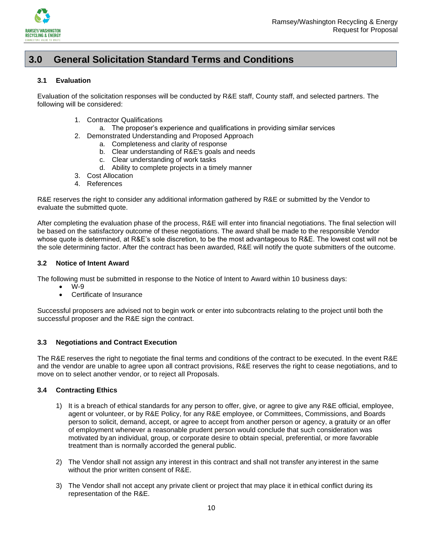

## **3.0 General Solicitation Standard Terms and Conditions**

### **3.1 Evaluation**

Evaluation of the solicitation responses will be conducted by R&E staff, County staff, and selected partners. The following will be considered:

- 1. Contractor Qualifications
	- a. The proposer's experience and qualifications in providing similar services
- 2. Demonstrated Understanding and Proposed Approach
	- a. Completeness and clarity of response
		- b. Clear understanding of R&E's goals and needs
		- c. Clear understanding of work tasks
		- d. Ability to complete projects in a timely manner
- 3. Cost Allocation
- 4. References

R&E reserves the right to consider any additional information gathered by R&E or submitted by the Vendor to evaluate the submitted quote.

After completing the evaluation phase of the process, R&E will enter into financial negotiations. The final selection will be based on the satisfactory outcome of these negotiations. The award shall be made to the responsible Vendor whose quote is determined, at R&E's sole discretion, to be the most advantageous to R&E. The lowest cost will not be the sole determining factor. After the contract has been awarded, R&E will notify the quote submitters of the outcome.

### **3.2 Notice of Intent Award**

The following must be submitted in response to the Notice of Intent to Award within 10 business days:

- W-9
- Certificate of Insurance

Successful proposers are advised not to begin work or enter into subcontracts relating to the project until both the successful proposer and the R&E sign the contract.

### **3.3 Negotiations and Contract Execution**

The R&E reserves the right to negotiate the final terms and conditions of the contract to be executed. In the event R&E and the vendor are unable to agree upon all contract provisions, R&E reserves the right to cease negotiations, and to move on to select another vendor, or to reject all Proposals.

### **3.4 Contracting Ethics**

- 1) It is a breach of ethical standards for any person to offer, give, or agree to give any R&E official, employee, agent or volunteer, or by R&E Policy, for any R&E employee, or Committees, Commissions, and Boards person to solicit, demand, accept, or agree to accept from another person or agency, a gratuity or an offer of employment whenever a reasonable prudent person would conclude that such consideration was motivated by an individual, group, or corporate desire to obtain special, preferential, or more favorable treatment than is normally accorded the general public.
- 2) The Vendor shall not assign any interest in this contract and shall not transfer any interest in the same without the prior written consent of R&E.
- 3) The Vendor shall not accept any private client or project that may place it in ethical conflict during its representation of the R&E.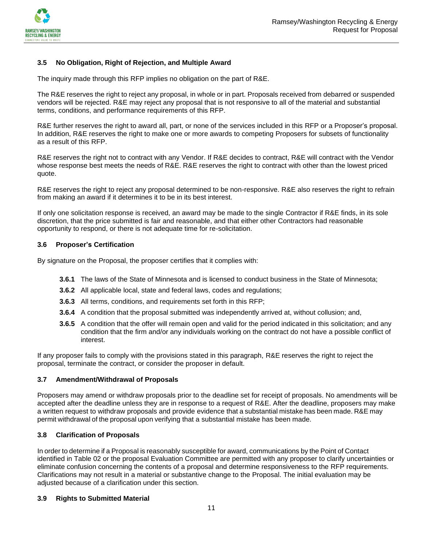

### **3.5 No Obligation, Right of Rejection, and Multiple Award**

The inquiry made through this RFP implies no obligation on the part of R&E.

The R&E reserves the right to reject any proposal, in whole or in part. Proposals received from debarred or suspended vendors will be rejected. R&E may reject any proposal that is not responsive to all of the material and substantial terms, conditions, and performance requirements of this RFP.

R&E further reserves the right to award all, part, or none of the services included in this RFP or a Proposer's proposal. In addition, R&E reserves the right to make one or more awards to competing Proposers for subsets of functionality as a result of this RFP.

R&E reserves the right not to contract with any Vendor. If R&E decides to contract, R&E will contract with the Vendor whose response best meets the needs of R&E. R&E reserves the right to contract with other than the lowest priced quote.

R&E reserves the right to reject any proposal determined to be non-responsive. R&E also reserves the right to refrain from making an award if it determines it to be in its best interest.

If only one solicitation response is received, an award may be made to the single Contractor if R&E finds, in its sole discretion, that the price submitted is fair and reasonable, and that either other Contractors had reasonable opportunity to respond, or there is not adequate time for re-solicitation.

### **3.6 Proposer's Certification**

By signature on the Proposal, the proposer certifies that it complies with:

- **3.6.1** The laws of the State of Minnesota and is licensed to conduct business in the State of Minnesota;
- **3.6.2** All applicable local, state and federal laws, codes and regulations;
- **3.6.3** All terms, conditions, and requirements set forth in this RFP;
- **3.6.4** A condition that the proposal submitted was independently arrived at, without collusion; and,
- **3.6.5** A condition that the offer will remain open and valid for the period indicated in this solicitation; and any condition that the firm and/or any individuals working on the contract do not have a possible conflict of interest.

If any proposer fails to comply with the provisions stated in this paragraph, R&E reserves the right to reject the proposal, terminate the contract, or consider the proposer in default.

### **3.7 Amendment/Withdrawal of Proposals**

Proposers may amend or withdraw proposals prior to the deadline set for receipt of proposals. No amendments will be accepted after the deadline unless they are in response to a request of R&E. After the deadline, proposers may make a written request to withdraw proposals and provide evidence that a substantial mistake has been made. R&E may permit withdrawal of the proposal upon verifying that a substantial mistake has been made.

### **3.8 Clarification of Proposals**

In order to determine if a Proposal is reasonably susceptible for award, communications by the Point of Contact identified in Table 02 or the proposal Evaluation Committee are permitted with any proposer to clarify uncertainties or eliminate confusion concerning the contents of a proposal and determine responsiveness to the RFP requirements. Clarifications may not result in a material or substantive change to the Proposal. The initial evaluation may be adjusted because of a clarification under this section.

### **3.9 Rights to Submitted Material**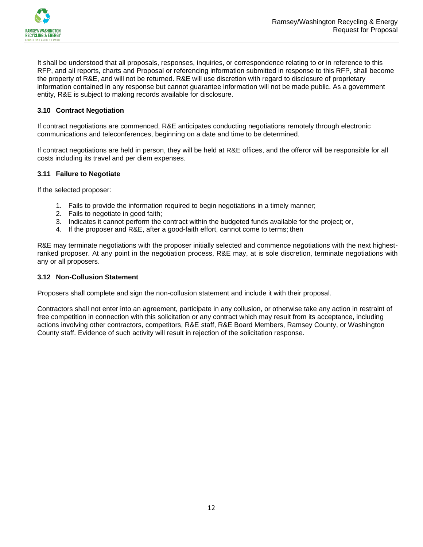

It shall be understood that all proposals, responses, inquiries, or correspondence relating to or in reference to this RFP, and all reports, charts and Proposal or referencing information submitted in response to this RFP, shall become the property of R&E, and will not be returned. R&E will use discretion with regard to disclosure of proprietary information contained in any response but cannot guarantee information will not be made public. As a government entity, R&E is subject to making records available for disclosure.

### **3.10 Contract Negotiation**

If contract negotiations are commenced, R&E anticipates conducting negotiations remotely through electronic communications and teleconferences, beginning on a date and time to be determined.

If contract negotiations are held in person, they will be held at R&E offices, and the offeror will be responsible for all costs including its travel and per diem expenses.

### **3.11 Failure to Negotiate**

If the selected proposer:

- 1. Fails to provide the information required to begin negotiations in a timely manner;
- 2. Fails to negotiate in good faith;
- 3. Indicates it cannot perform the contract within the budgeted funds available for the project; or,
- 4. If the proposer and R&E, after a good-faith effort, cannot come to terms; then

R&E may terminate negotiations with the proposer initially selected and commence negotiations with the next highestranked proposer. At any point in the negotiation process, R&E may, at is sole discretion, terminate negotiations with any or all proposers.

#### **3.12 Non-Collusion Statement**

Proposers shall complete and sign the non-collusion statement and include it with their proposal.

Contractors shall not enter into an agreement, participate in any collusion, or otherwise take any action in restraint of free competition in connection with this solicitation or any contract which may result from its acceptance, including actions involving other contractors, competitors, R&E staff, R&E Board Members, Ramsey County, or Washington County staff. Evidence of such activity will result in rejection of the solicitation response.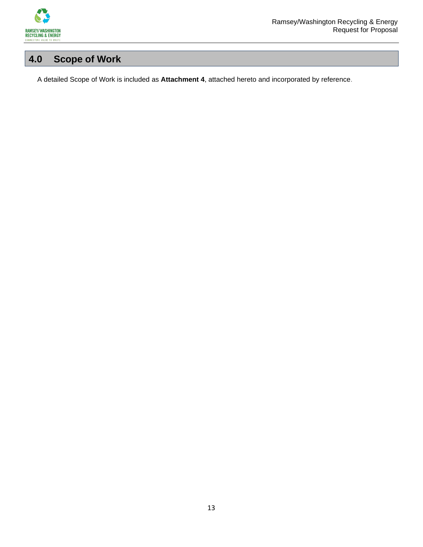

## **4.0 Scope of Work**

A detailed Scope of Work is included as **Attachment 4**, attached hereto and incorporated by reference.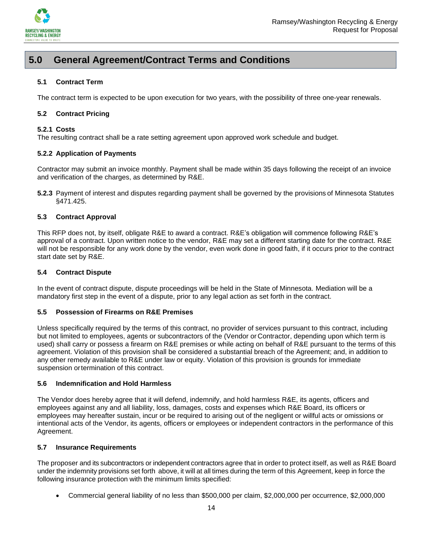

## **5.0 General Agreement/Contract Terms and Conditions**

### **5.1 Contract Term**

The contract term is expected to be upon execution for two years, with the possibility of three one-year renewals.

### **5.2 Contract Pricing**

### **5.2.1 Costs**

The resulting contract shall be a rate setting agreement upon approved work schedule and budget.

### **5.2.2 Application of Payments**

Contractor may submit an invoice monthly. Payment shall be made within 35 days following the receipt of an invoice and verification of the charges, as determined by R&E.

**5.2.3** Payment of interest and disputes regarding payment shall be governed by the provisions of Minnesota Statutes §471.425.

### **5.3 Contract Approval**

This RFP does not, by itself, obligate R&E to award a contract. R&E's obligation will commence following R&E's approval of a contract. Upon written notice to the vendor, R&E may set a different starting date for the contract. R&E will not be responsible for any work done by the vendor, even work done in good faith, if it occurs prior to the contract start date set by R&E.

### **5.4 Contract Dispute**

In the event of contract dispute, dispute proceedings will be held in the State of Minnesota. Mediation will be a mandatory first step in the event of a dispute, prior to any legal action as set forth in the contract.

### **5.5 Possession of Firearms on R&E Premises**

Unless specifically required by the terms of this contract, no provider of services pursuant to this contract, including but not limited to employees, agents or subcontractors of the (Vendor or Contractor, depending upon which term is used) shall carry or possess a firearm on R&E premises or while acting on behalf of R&E pursuant to the terms of this agreement. Violation of this provision shall be considered a substantial breach of the Agreement; and, in addition to any other remedy available to R&E under law or equity. Violation of this provision is grounds for immediate suspension ortermination of this contract.

### **5.6 Indemnification and Hold Harmless**

The Vendor does hereby agree that it will defend, indemnify, and hold harmless R&E, its agents, officers and employees against any and all liability, loss, damages, costs and expenses which R&E Board, its officers or employees may hereafter sustain, incur or be required to arising out of the negligent or willful acts or omissions or intentional acts of the Vendor, its agents, officers or employees or independent contractors in the performance of this Agreement.

### **5.7 Insurance Requirements**

The proposer and its subcontractors or independent contractors agree that in order to protect itself, as well as R&E Board under the indemnity provisions set forth above, it will at all times during the term of this Agreement, keep in force the following insurance protection with the minimum limits specified:

• Commercial general liability of no less than \$500,000 per claim, \$2,000,000 per occurrence, \$2,000,000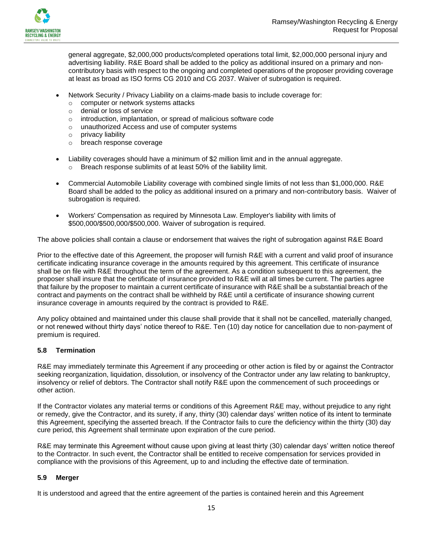

general aggregate, \$2,000,000 products/completed operations total limit, \$2,000,000 personal injury and advertising liability. R&E Board shall be added to the policy as additional insured on a primary and noncontributory basis with respect to the ongoing and completed operations of the proposer providing coverage at least as broad as ISO forms CG 2010 and CG 2037. Waiver of subrogation is required.

- Network Security / Privacy Liability on a claims-made basis to include coverage for:
	- o computer or network systems attacks
	- o denial or loss of service
	- o introduction, implantation, or spread of malicious software code
	- o unauthorized Access and use of computer systems
	- o privacy liability
	- o breach response coverage
- Liability coverages should have a minimum of \$2 million limit and in the annual aggregate. o Breach response sublimits of at least 50% of the liability limit.
- Commercial Automobile Liability coverage with combined single limits of not less than \$1,000,000. R&E Board shall be added to the policy as additional insured on a primary and non-contributory basis. Waiver of subrogation is required.
- Workers' Compensation as required by Minnesota Law. Employer's liability with limits of \$500,000/\$500,000/\$500,000. Waiver of subrogation is required.

The above policies shall contain a clause or endorsement that waives the right of subrogation against R&E Board

Prior to the effective date of this Agreement, the proposer will furnish R&E with a current and valid proof of insurance certificate indicating insurance coverage in the amounts required by this agreement. This certificate of insurance shall be on file with R&E throughout the term of the agreement. As a condition subsequent to this agreement, the proposer shall insure that the certificate of insurance provided to R&E will at all times be current. The parties agree that failure by the proposer to maintain a current certificate of insurance with R&E shall be a substantial breach of the contract and payments on the contract shall be withheld by R&E until a certificate of insurance showing current insurance coverage in amounts required by the contract is provided to R&E.

Any policy obtained and maintained under this clause shall provide that it shall not be cancelled, materially changed, or not renewed without thirty days' notice thereof to R&E. Ten (10) day notice for cancellation due to non-payment of premium is required.

### **5.8 Termination**

R&E may immediately terminate this Agreement if any proceeding or other action is filed by or against the Contractor seeking reorganization, liquidation, dissolution, or insolvency of the Contractor under any law relating to bankruptcy, insolvency or relief of debtors. The Contractor shall notify R&E upon the commencement of such proceedings or other action.

If the Contractor violates any material terms or conditions of this Agreement R&E may, without prejudice to any right or remedy, give the Contractor, and its surety, if any, thirty (30) calendar days' written notice of its intent to terminate this Agreement, specifying the asserted breach. If the Contractor fails to cure the deficiency within the thirty (30) day cure period, this Agreement shall terminate upon expiration of the cure period.

R&E may terminate this Agreement without cause upon giving at least thirty (30) calendar days' written notice thereof to the Contractor. In such event, the Contractor shall be entitled to receive compensation for services provided in compliance with the provisions of this Agreement, up to and including the effective date of termination.

### **5.9 Merger**

It is understood and agreed that the entire agreement of the parties is contained herein and this Agreement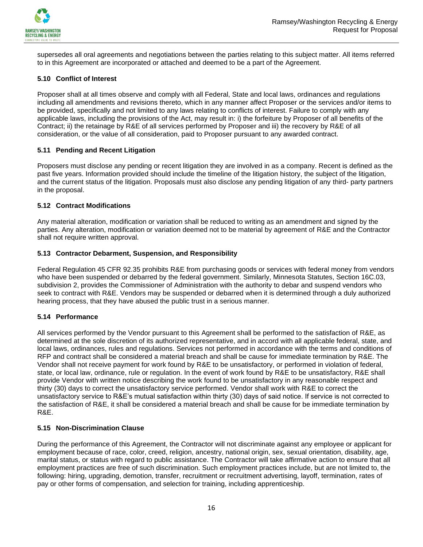

supersedes all oral agreements and negotiations between the parties relating to this subject matter. All items referred to in this Agreement are incorporated or attached and deemed to be a part of the Agreement.

### **5.10 Conflict of Interest**

Proposer shall at all times observe and comply with all Federal, State and local laws, ordinances and regulations including all amendments and revisions thereto, which in any manner affect Proposer or the services and/or items to be provided, specifically and not limited to any laws relating to conflicts of interest. Failure to comply with any applicable laws, including the provisions of the Act, may result in: i) the forfeiture by Proposer of all benefits of the Contract; ii) the retainage by R&E of all services performed by Proposer and iii) the recovery by R&E of all consideration, or the value of all consideration, paid to Proposer pursuant to any awarded contract.

### **5.11 Pending and Recent Litigation**

Proposers must disclose any pending or recent litigation they are involved in as a company. Recent is defined as the past five years. Information provided should include the timeline of the litigation history, the subject of the litigation, and the current status of the litigation. Proposals must also disclose any pending litigation of any third- party partners in the proposal.

### **5.12 Contract Modifications**

Any material alteration, modification or variation shall be reduced to writing as an amendment and signed by the parties. Any alteration, modification or variation deemed not to be material by agreement of R&E and the Contractor shall not require written approval.

### **5.13 Contractor Debarment, Suspension, and Responsibility**

Federal Regulation 45 CFR 92.35 prohibits R&E from purchasing goods or services with federal money from vendors who have been suspended or debarred by the federal government. Similarly, Minnesota Statutes, Section 16C.03, subdivision 2, provides the Commissioner of Administration with the authority to debar and suspend vendors who seek to contract with R&E. Vendors may be suspended or debarred when it is determined through a duly authorized hearing process, that they have abused the public trust in a serious manner.

### **5.14 Performance**

All services performed by the Vendor pursuant to this Agreement shall be performed to the satisfaction of R&E, as determined at the sole discretion of its authorized representative, and in accord with all applicable federal, state, and local laws, ordinances, rules and regulations. Services not performed in accordance with the terms and conditions of RFP and contract shall be considered a material breach and shall be cause for immediate termination by R&E. The Vendor shall not receive payment for work found by R&E to be unsatisfactory, or performed in violation of federal, state, or local law, ordinance, rule or regulation. In the event of work found by R&E to be unsatisfactory, R&E shall provide Vendor with written notice describing the work found to be unsatisfactory in any reasonable respect and thirty (30) days to correct the unsatisfactory service performed. Vendor shall work with R&E to correct the unsatisfactory service to R&E's mutual satisfaction within thirty (30) days of said notice. If service is not corrected to the satisfaction of R&E, it shall be considered a material breach and shall be cause for be immediate termination by R&E.

### **5.15 Non-Discrimination Clause**

During the performance of this Agreement, the Contractor will not discriminate against any employee or applicant for employment because of race, color, creed, religion, ancestry, national origin, sex, sexual orientation, disability, age, marital status, or status with regard to public assistance. The Contractor will take affirmative action to ensure that all employment practices are free of such discrimination. Such employment practices include, but are not limited to, the following: hiring, upgrading, demotion, transfer, recruitment or recruitment advertising, layoff, termination, rates of pay or other forms of compensation, and selection for training, including apprenticeship.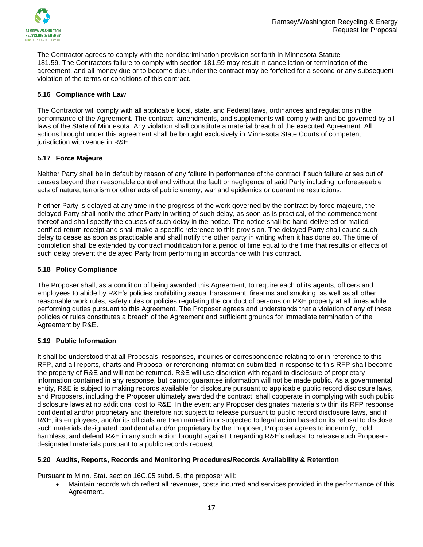

The Contractor agrees to comply with the nondiscrimination provision set forth in Minnesota Statute 181.59. The Contractors failure to comply with section 181.59 may result in cancellation or termination of the agreement, and all money due or to become due under the contract may be forfeited for a second or any subsequent violation of the terms or conditions of this contract.

### **5.16 Compliance with Law**

The Contractor will comply with all applicable local, state, and Federal laws, ordinances and regulations in the performance of the Agreement. The contract, amendments, and supplements will comply with and be governed by all laws of the State of Minnesota. Any violation shall constitute a material breach of the executed Agreement. All actions brought under this agreement shall be brought exclusively in Minnesota State Courts of competent jurisdiction with venue in R&E.

### **5.17 Force Majeure**

Neither Party shall be in default by reason of any failure in performance of the contract if such failure arises out of causes beyond their reasonable control and without the fault or negligence of said Party including, unforeseeable acts of nature; terrorism or other acts of public enemy; war and epidemics or quarantine restrictions.

If either Party is delayed at any time in the progress of the work governed by the contract by force majeure, the delayed Party shall notify the other Party in writing of such delay, as soon as is practical, of the commencement thereof and shall specify the causes of such delay in the notice. The notice shall be hand-delivered or mailed certified-return receipt and shall make a specific reference to this provision. The delayed Party shall cause such delay to cease as soon as practicable and shall notify the other party in writing when it has done so. The time of completion shall be extended by contract modification for a period of time equal to the time that results or effects of such delay prevent the delayed Party from performing in accordance with this contract.

### **5.18 Policy Compliance**

The Proposer shall, as a condition of being awarded this Agreement, to require each of its agents, officers and employees to abide by R&E's policies prohibiting sexual harassment, firearms and smoking, as well as all other reasonable work rules, safety rules or policies regulating the conduct of persons on R&E property at all times while performing duties pursuant to this Agreement. The Proposer agrees and understands that a violation of any of these policies or rules constitutes a breach of the Agreement and sufficient grounds for immediate termination of the Agreement by R&E.

### **5.19 Public Information**

It shall be understood that all Proposals, responses, inquiries or correspondence relating to or in reference to this RFP, and all reports, charts and Proposal or referencing information submitted in response to this RFP shall become the property of R&E and will not be returned. R&E will use discretion with regard to disclosure of proprietary information contained in any response, but cannot guarantee information will not be made public. As a governmental entity, R&E is subject to making records available for disclosure pursuant to applicable public record disclosure laws, and Proposers, including the Proposer ultimately awarded the contract, shall cooperate in complying with such public disclosure laws at no additional cost to R&E. In the event any Proposer designates materials within its RFP response confidential and/or proprietary and therefore not subject to release pursuant to public record disclosure laws, and if R&E, its employees, and/or its officials are then named in or subjected to legal action based on its refusal to disclose such materials designated confidential and/or proprietary by the Proposer, Proposer agrees to indemnify, hold harmless, and defend R&E in any such action brought against it regarding R&E's refusal to release such Proposerdesignated materials pursuant to a public records request.

### **5.20 Audits, Reports, Records and Monitoring Procedures/Records Availability & Retention**

Pursuant to Minn. Stat. section 16C.05 subd. 5, the proposer will:

• Maintain records which reflect all revenues, costs incurred and services provided in the performance of this Agreement.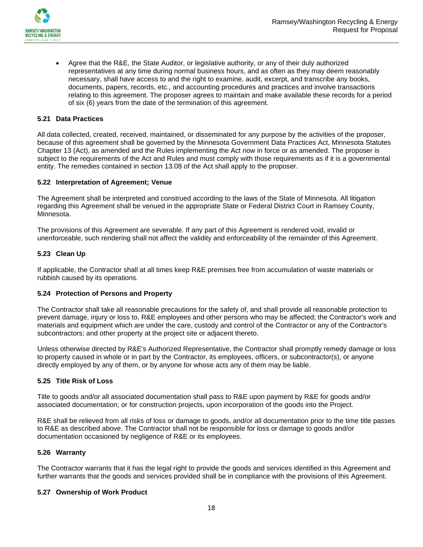

• Agree that the R&E, the State Auditor, or legislative authority, or any of their duly authorized representatives at any time during normal business hours, and as often as they may deem reasonably necessary, shall have access to and the right to examine, audit, excerpt, and transcribe any books, documents, papers, records, etc., and accounting procedures and practices and involve transactions relating to this agreement. The proposer agrees to maintain and make available these records for a period of six (6) years from the date of the termination of this agreement.

### **5.21 Data Practices**

All data collected, created, received, maintained, or disseminated for any purpose by the activities of the proposer, because of this agreement shall be governed by the Minnesota Government Data Practices Act, Minnesota Statutes Chapter 13 (Act), as amended and the Rules implementing the Act now in force or as amended. The proposer is subject to the requirements of the Act and Rules and must comply with those requirements as if it is a governmental entity. The remedies contained in section 13.08 of the Act shall apply to the proposer.

### **5.22 Interpretation of Agreement; Venue**

The Agreement shall be interpreted and construed according to the laws of the State of Minnesota. All litigation regarding this Agreement shall be venued in the appropriate State or Federal District Court in Ramsey County, Minnesota.

The provisions of this Agreement are severable. If any part of this Agreement is rendered void, invalid or unenforceable, such rendering shall not affect the validity and enforceability of the remainder of this Agreement.

### **5.23 Clean Up**

If applicable, the Contractor shall at all times keep R&E premises free from accumulation of waste materials or rubbish caused by its operations.

### **5.24 Protection of Persons and Property**

The Contractor shall take all reasonable precautions for the safety of, and shall provide all reasonable protection to prevent damage, injury or loss to, R&E employees and other persons who may be affected; the Contractor's work and materials and equipment which are under the care, custody and control of the Contractor or any of the Contractor's subcontractors; and other property at the project site or adjacent thereto.

Unless otherwise directed by R&E's Authorized Representative, the Contractor shall promptly remedy damage or loss to property caused in whole or in part by the Contractor, its employees, officers, or subcontractor(s), or anyone directly employed by any of them, or by anyone for whose acts any of them may be liable.

### **5.25 Title Risk of Loss**

Title to goods and/or all associated documentation shall pass to R&E upon payment by R&E for goods and/or associated documentation; or for construction projects, upon incorporation of the goods into the Project.

R&E shall be relieved from all risks of loss or damage to goods, and/or all documentation prior to the time title passes to R&E as described above. The Contractor shall not be responsible for loss or damage to goods and/or documentation occasioned by negligence of R&E or its employees.

### **5.26 Warranty**

The Contractor warrants that it has the legal right to provide the goods and services identified in this Agreement and further warrants that the goods and services provided shall be in compliance with the provisions of this Agreement.

### **5.27 Ownership of Work Product**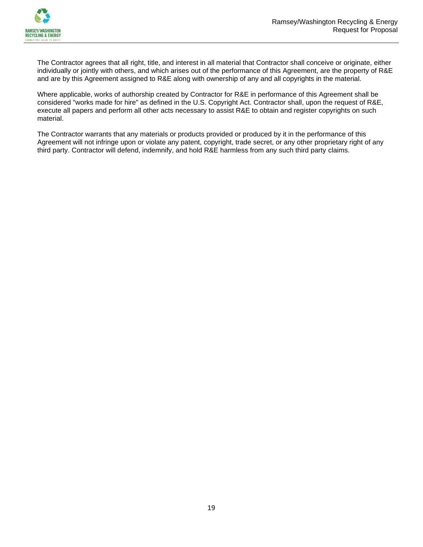

The Contractor agrees that all right, title, and interest in all material that Contractor shall conceive or originate, either individually or jointly with others, and which arises out of the performance of this Agreement, are the property of R&E and are by this Agreement assigned to R&E along with ownership of any and all copyrights in the material.

Where applicable, works of authorship created by Contractor for R&E in performance of this Agreement shall be considered "works made for hire" as defined in the U.S. Copyright Act. Contractor shall, upon the request of R&E, execute all papers and perform all other acts necessary to assist R&E to obtain and register copyrights on such material.

The Contractor warrants that any materials or products provided or produced by it in the performance of this Agreement will not infringe upon or violate any patent, copyright, trade secret, or any other proprietary right of any third party. Contractor will defend, indemnify, and hold R&E harmless from any such third party claims.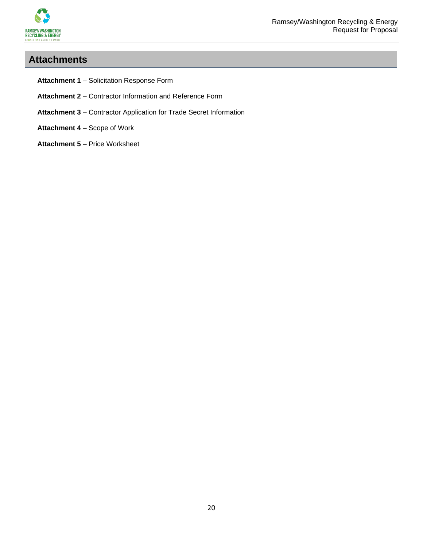

## **Attachments**

- **Attachment 1**  Solicitation Response Form
- **Attachment 2**  Contractor Information and Reference Form
- **Attachment 3**  Contractor Application for Trade Secret Information
- **Attachment 4**  Scope of Work
- **Attachment 5**  Price Worksheet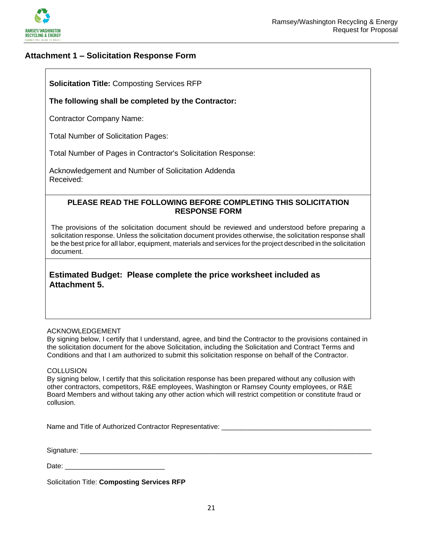

### **Attachment 1 – Solicitation Response Form**

### **Solicitation Title:** Composting Services RFP

### **The following shall be completed by the Contractor:**

Contractor Company Name:

Total Number of Solicitation Pages:

Total Number of Pages in Contractor's Solicitation Response:

Acknowledgement and Number of Solicitation Addenda Received:

### **PLEASE READ THE FOLLOWING BEFORE COMPLETING THIS SOLICITATION RESPONSE FORM**

The provisions of the solicitation document should be reviewed and understood before preparing a solicitation response. Unless the solicitation document provides otherwise, the solicitation response shall be the best price for all labor, equipment, materials and services for the project described in the solicitation document.

### **Estimated Budget: Please complete the price worksheet included as Attachment 5.**

### ACKNOWLEDGEMENT

By signing below, I certify that I understand, agree, and bind the Contractor to the provisions contained in the solicitation document for the above Solicitation, including the Solicitation and Contract Terms and Conditions and that I am authorized to submit this solicitation response on behalf of the Contractor.

### **COLLUSION**

By signing below, I certify that this solicitation response has been prepared without any collusion with other contractors, competitors, R&E employees, Washington or Ramsey County employees, or R&E Board Members and without taking any other action which will restrict competition or constitute fraud or collusion.

Name and Title of Authorized Contractor Representative: \_\_\_\_\_\_\_\_\_\_\_\_\_\_\_\_\_\_\_\_\_\_\_\_\_\_\_\_\_\_\_\_\_\_\_\_\_\_\_

Signature: \_\_\_\_\_\_\_\_\_\_\_\_\_\_\_\_\_\_\_\_\_\_\_\_\_\_\_\_\_\_\_\_\_\_\_\_\_\_\_\_\_\_\_\_\_\_\_\_\_\_\_\_\_\_\_\_\_\_\_\_\_\_\_\_\_\_\_\_\_\_\_\_\_\_\_\_

Date:

Solicitation Title: **Composting Services RFP**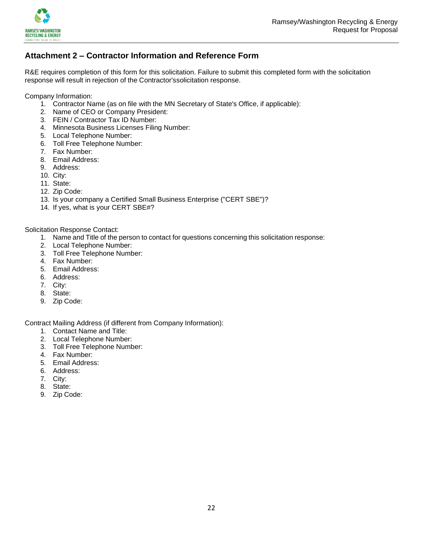

## **Attachment 2 – Contractor Information and Reference Form**

R&E requires completion of this form for this solicitation. Failure to submit this completed form with the solicitation response will result in rejection of the Contractor'ssolicitation response.

Company Information:

- 1. Contractor Name (as on file with the MN Secretary of State's Office, if applicable):
- 2. Name of CEO or Company President:
- 3. FEIN / Contractor Tax ID Number:
- 4. Minnesota Business Licenses Filing Number:
- 5. Local Telephone Number:
- 6. Toll Free Telephone Number:
- 7. Fax Number:
- 8. Email Address:
- 9. Address:
- 10. City:
- 11. State:
- 12. Zip Code:
- 13. Is your company a Certified Small Business Enterprise ("CERT SBE")?
- 14. If yes, what is your CERT SBE#?

Solicitation Response Contact:

- 1. Name and Title of the person to contact for questions concerning this solicitation response:
- 2. Local Telephone Number:
- 3. Toll Free Telephone Number:
- 4. Fax Number:
- 5. Email Address:
- 6. Address:
- 7. City:
- 8. State:
- 9. Zip Code:

Contract Mailing Address (if different from Company Information):

- 1. Contact Name and Title:
- 2. Local Telephone Number:
- 3. Toll Free Telephone Number:
- 4. Fax Number:
- 5. Email Address:
- 6. Address:
- 7. City:
- 8. State:
- 9. Zip Code: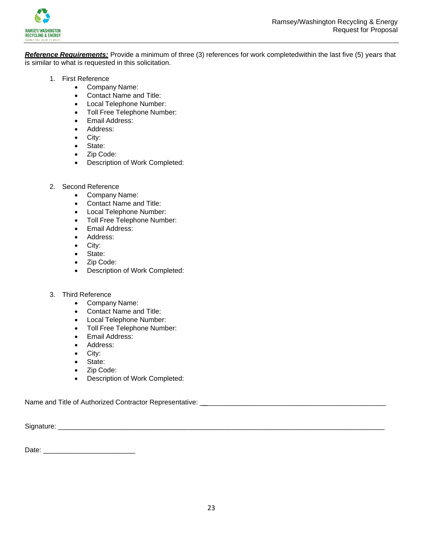

*Reference Requirements:* Provide a minimum of three (3) references for work completedwithin the last five (5) years that is similar to what is requested in this solicitation.

- 1. First Reference
	- Company Name:
	- Contact Name and Title:
	- Local Telephone Number:
	- Toll Free Telephone Number:
	- Email Address:
	- Address:
	- City:
	- State:
	- Zip Code:
	- Description of Work Completed:
- 2. Second Reference
	- Company Name:
	- Contact Name and Title:
	- Local Telephone Number:
	- Toll Free Telephone Number:
	- Email Address:
	- Address:
	- City:
	- State:
	- Zip Code:
	- Description of Work Completed:
- 3. Third Reference
	- Company Name:
	- Contact Name and Title:
	- Local Telephone Number:
	- Toll Free Telephone Number:
	- Email Address:
	- Address:
	- City:
	- State:
	- Zip Code:
	- Description of Work Completed:

Name and Title of Authorized Contractor Representative: \_\_\_\_\_\_\_\_\_\_\_\_\_\_\_\_\_\_\_\_\_\_\_\_\_\_\_\_\_\_\_\_\_\_\_\_\_\_\_\_\_\_\_\_\_\_\_\_\_\_

Signature: \_\_\_\_\_\_\_\_\_\_\_\_\_\_\_\_\_\_\_\_\_\_\_\_\_\_\_\_\_\_\_\_\_\_\_\_\_\_\_\_\_\_\_\_\_\_\_\_\_\_\_\_\_\_\_\_\_\_\_\_\_\_\_\_\_\_\_\_\_\_\_\_\_\_\_\_\_\_\_\_\_\_\_\_\_

Date:  $\Box$